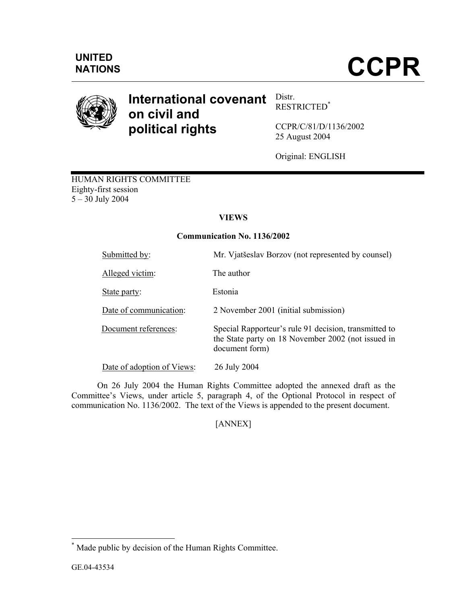

#### **International covenant on civil and political rights**  Distr. RESTRICTED\*

CCPR/C/81/D/1136/2002 25 August 2004

Original: ENGLISH

HUMAN RIGHTS COMMITTEE Eighty-first session 5 – 30 July 2004

# **VIEWS**

## **Communication No. 1136/2002**

| Submitted by:              | Mr. Vjatšeslav Borzov (not represented by counsel)                                                                            |
|----------------------------|-------------------------------------------------------------------------------------------------------------------------------|
| Alleged victim:            | The author                                                                                                                    |
| State party:               | Estonia                                                                                                                       |
| Date of communication:     | 2 November 2001 (initial submission)                                                                                          |
| Document references:       | Special Rapporteur's rule 91 decision, transmitted to<br>the State party on 18 November 2002 (not issued in<br>document form) |
| Date of adoption of Views: | 26 July 2004                                                                                                                  |

 On 26 July 2004 the Human Rights Committee adopted the annexed draft as the Committee's Views, under article 5, paragraph 4, of the Optional Protocol in respect of communication No. 1136/2002. The text of the Views is appended to the present document.

[ANNEX]

 \* Made public by decision of the Human Rights Committee.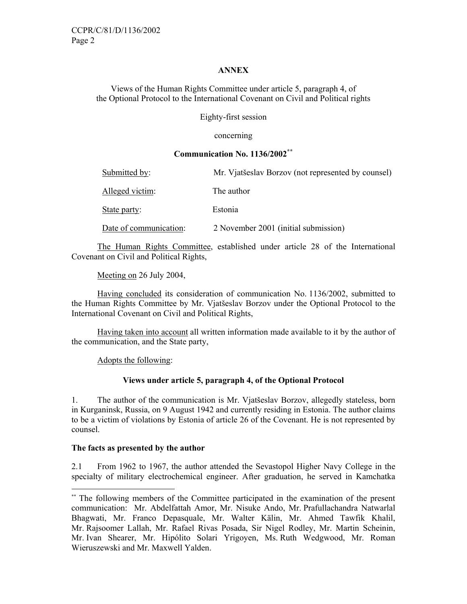### **ANNEX**

Views of the Human Rights Committee under article 5, paragraph 4, of the Optional Protocol to the International Covenant on Civil and Political rights

Eighty-first session

concerning

### **Communication No. 1136/2002\*\***

| Submitted by:          | Mr. Vjatšeslav Borzov (not represented by counsel) |
|------------------------|----------------------------------------------------|
| Alleged victim:        | The author                                         |
| State party:           | Estonia                                            |
| Date of communication: | 2 November 2001 (initial submission)               |

 The Human Rights Committee, established under article 28 of the International Covenant on Civil and Political Rights,

Meeting on 26 July 2004,

 Having concluded its consideration of communication No. 1136/2002, submitted to the Human Rights Committee by Mr. Vjatšeslav Borzov under the Optional Protocol to the International Covenant on Civil and Political Rights,

 Having taken into account all written information made available to it by the author of the communication, and the State party,

Adopts the following:

## **Views under article 5, paragraph 4, of the Optional Protocol**

1. The author of the communication is Mr. Vjatšeslav Borzov, allegedly stateless, born in Kurganinsk, Russia, on 9 August 1942 and currently residing in Estonia. The author claims to be a victim of violations by Estonia of article 26 of the Covenant. He is not represented by counsel.

### **The facts as presented by the author**

-

2.1 From 1962 to 1967, the author attended the Sevastopol Higher Navy College in the specialty of military electrochemical engineer. After graduation, he served in Kamchatka

<sup>\*\*</sup> The following members of the Committee participated in the examination of the present communication: Mr. Abdelfattah Amor, Mr. Nisuke Ando, Mr. Prafullachandra Natwarlal Bhagwati, Mr. Franco Depasquale, Mr. Walter Kälin, Mr. Ahmed Tawfik Khalil, Mr. Rajsoomer Lallah, Mr. Rafael Rivas Posada, Sir Nigel Rodley, Mr. Martin Scheinin, Mr. Ivan Shearer, Mr. Hipólito Solari Yrigoyen, Ms. Ruth Wedgwood, Mr. Roman Wieruszewski and Mr. Maxwell Yalden.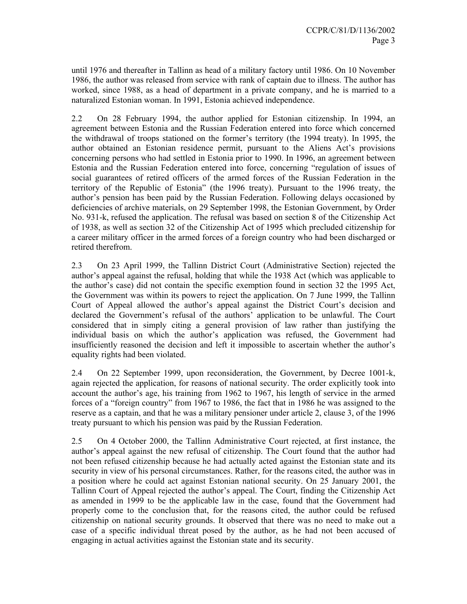until 1976 and thereafter in Tallinn as head of a military factory until 1986. On 10 November 1986, the author was released from service with rank of captain due to illness. The author has worked, since 1988, as a head of department in a private company, and he is married to a naturalized Estonian woman. In 1991, Estonia achieved independence.

2.2 On 28 February 1994, the author applied for Estonian citizenship. In 1994, an agreement between Estonia and the Russian Federation entered into force which concerned the withdrawal of troops stationed on the former's territory (the 1994 treaty). In 1995, the author obtained an Estonian residence permit, pursuant to the Aliens Act's provisions concerning persons who had settled in Estonia prior to 1990. In 1996, an agreement between Estonia and the Russian Federation entered into force, concerning "regulation of issues of social guarantees of retired officers of the armed forces of the Russian Federation in the territory of the Republic of Estonia" (the 1996 treaty). Pursuant to the 1996 treaty, the author's pension has been paid by the Russian Federation. Following delays occasioned by deficiencies of archive materials, on 29 September 1998, the Estonian Government, by Order No. 931-k, refused the application. The refusal was based on section 8 of the Citizenship Act of 1938, as well as section 32 of the Citizenship Act of 1995 which precluded citizenship for a career military officer in the armed forces of a foreign country who had been discharged or retired therefrom.

2.3 On 23 April 1999, the Tallinn District Court (Administrative Section) rejected the author's appeal against the refusal, holding that while the 1938 Act (which was applicable to the author's case) did not contain the specific exemption found in section 32 the 1995 Act, the Government was within its powers to reject the application. On 7 June 1999, the Tallinn Court of Appeal allowed the author's appeal against the District Court's decision and declared the Government's refusal of the authors' application to be unlawful. The Court considered that in simply citing a general provision of law rather than justifying the individual basis on which the author's application was refused, the Government had insufficiently reasoned the decision and left it impossible to ascertain whether the author's equality rights had been violated.

2.4 On 22 September 1999, upon reconsideration, the Government, by Decree 1001-k, again rejected the application, for reasons of national security. The order explicitly took into account the author's age, his training from 1962 to 1967, his length of service in the armed forces of a "foreign country" from 1967 to 1986, the fact that in 1986 he was assigned to the reserve as a captain, and that he was a military pensioner under article 2, clause 3, of the 1996 treaty pursuant to which his pension was paid by the Russian Federation.

2.5 On 4 October 2000, the Tallinn Administrative Court rejected, at first instance, the author's appeal against the new refusal of citizenship. The Court found that the author had not been refused citizenship because he had actually acted against the Estonian state and its security in view of his personal circumstances. Rather, for the reasons cited, the author was in a position where he could act against Estonian national security. On 25 January 2001, the Tallinn Court of Appeal rejected the author's appeal. The Court, finding the Citizenship Act as amended in 1999 to be the applicable law in the case, found that the Government had properly come to the conclusion that, for the reasons cited, the author could be refused citizenship on national security grounds. It observed that there was no need to make out a case of a specific individual threat posed by the author, as he had not been accused of engaging in actual activities against the Estonian state and its security.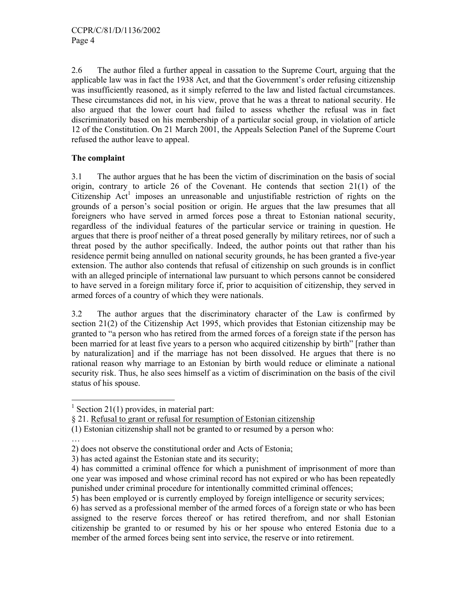2.6 The author filed a further appeal in cassation to the Supreme Court, arguing that the applicable law was in fact the 1938 Act, and that the Government's order refusing citizenship was insufficiently reasoned, as it simply referred to the law and listed factual circumstances. These circumstances did not, in his view, prove that he was a threat to national security. He also argued that the lower court had failed to assess whether the refusal was in fact discriminatorily based on his membership of a particular social group, in violation of article 12 of the Constitution. On 21 March 2001, the Appeals Selection Panel of the Supreme Court refused the author leave to appeal.

## **The complaint**

3.1 The author argues that he has been the victim of discrimination on the basis of social origin, contrary to article 26 of the Covenant. He contends that section 21(1) of the Citizenship  $Act<sup>1</sup>$  imposes an unreasonable and unjustifiable restriction of rights on the grounds of a person's social position or origin. He argues that the law presumes that all foreigners who have served in armed forces pose a threat to Estonian national security, regardless of the individual features of the particular service or training in question. He argues that there is proof neither of a threat posed generally by military retirees, nor of such a threat posed by the author specifically. Indeed, the author points out that rather than his residence permit being annulled on national security grounds, he has been granted a five-year extension. The author also contends that refusal of citizenship on such grounds is in conflict with an alleged principle of international law pursuant to which persons cannot be considered to have served in a foreign military force if, prior to acquisition of citizenship, they served in armed forces of a country of which they were nationals.

3.2 The author argues that the discriminatory character of the Law is confirmed by section 21(2) of the Citizenship Act 1995, which provides that Estonian citizenship may be granted to "a person who has retired from the armed forces of a foreign state if the person has been married for at least five years to a person who acquired citizenship by birth" [rather than by naturalization] and if the marriage has not been dissolved. He argues that there is no rational reason why marriage to an Estonian by birth would reduce or eliminate a national security risk. Thus, he also sees himself as a victim of discrimination on the basis of the civil status of his spouse.

…

 $\frac{1}{1}$  Section 21(1) provides, in material part:

<sup>§ 21.</sup> Refusal to grant or refusal for resumption of Estonian citizenship

<sup>(1)</sup> Estonian citizenship shall not be granted to or resumed by a person who:

<sup>2)</sup> does not observe the constitutional order and Acts of Estonia;

<sup>3)</sup> has acted against the Estonian state and its security;

<sup>4)</sup> has committed a criminal offence for which a punishment of imprisonment of more than one year was imposed and whose criminal record has not expired or who has been repeatedly punished under criminal procedure for intentionally committed criminal offences;

<sup>5)</sup> has been employed or is currently employed by foreign intelligence or security services;

<sup>6)</sup> has served as a professional member of the armed forces of a foreign state or who has been assigned to the reserve forces thereof or has retired therefrom, and nor shall Estonian citizenship be granted to or resumed by his or her spouse who entered Estonia due to a member of the armed forces being sent into service, the reserve or into retirement.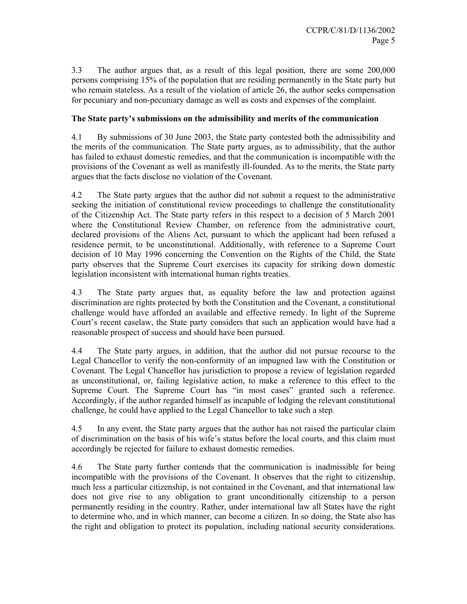3.3 The author argues that, as a result of this legal position, there are some 200,000 persons comprising 15% of the population that are residing permanently in the State party but who remain stateless. As a result of the violation of article 26, the author seeks compensation for pecuniary and non-pecuniary damage as well as costs and expenses of the complaint.

### **The State party's submissions on the admissibility and merits of the communication**

4.1 By submissions of 30 June 2003, the State party contested both the admissibility and the merits of the communication. The State party argues, as to admissibility, that the author has failed to exhaust domestic remedies, and that the communication is incompatible with the provisions of the Covenant as well as manifestly ill-founded. As to the merits, the State party argues that the facts disclose no violation of the Covenant.

4.2 The State party argues that the author did not submit a request to the administrative seeking the initiation of constitutional review proceedings to challenge the constitutionality of the Citizenship Act. The State party refers in this respect to a decision of 5 March 2001 where the Constitutional Review Chamber, on reference from the administrative court, declared provisions of the Aliens Act, pursuant to which the applicant had been refused a residence permit, to be unconstitutional. Additionally, with reference to a Supreme Court decision of 10 May 1996 concerning the Convention on the Rights of the Child, the State party observes that the Supreme Court exercises its capacity for striking down domestic legislation inconsistent with international human rights treaties.

4.3 The State party argues that, as equality before the law and protection against discrimination are rights protected by both the Constitution and the Covenant, a constitutional challenge would have afforded an available and effective remedy. In light of the Supreme Court's recent caselaw, the State party considers that such an application would have had a reasonable prospect of success and should have been pursued.

4.4 The State party argues, in addition, that the author did not pursue recourse to the Legal Chancellor to verify the non-conformity of an impugned law with the Constitution or Covenant. The Legal Chancellor has jurisdiction to propose a review of legislation regarded as unconstitutional, or, failing legislative action, to make a reference to this effect to the Supreme Court. The Supreme Court has "in most cases" granted such a reference. Accordingly, if the author regarded himself as incapable of lodging the relevant constitutional challenge, he could have applied to the Legal Chancellor to take such a step.

4.5 In any event, the State party argues that the author has not raised the particular claim of discrimination on the basis of his wife's status before the local courts, and this claim must accordingly be rejected for failure to exhaust domestic remedies.

4.6 The State party further contends that the communication is inadmissible for being incompatible with the provisions of the Covenant. It observes that the right to citizenship, much less a particular citizenship, is not contained in the Covenant, and that international law does not give rise to any obligation to grant unconditionally citizenship to a person permanently residing in the country. Rather, under international law all States have the right to determine who, and in which manner, can become a citizen. In so doing, the State also has the right and obligation to protect its population, including national security considerations.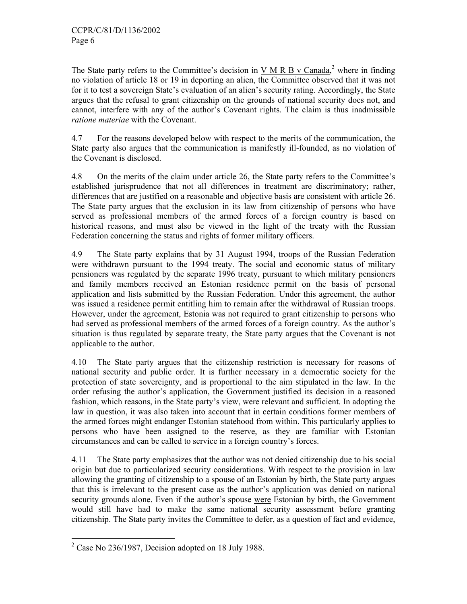The State party refers to the Committee's decision in  $V M R B v Canada$ ,<sup>2</sup> where in finding no violation of article 18 or 19 in deporting an alien, the Committee observed that it was not for it to test a sovereign State's evaluation of an alien's security rating. Accordingly, the State argues that the refusal to grant citizenship on the grounds of national security does not, and cannot, interfere with any of the author's Covenant rights. The claim is thus inadmissible *ratione materiae* with the Covenant.

4.7 For the reasons developed below with respect to the merits of the communication, the State party also argues that the communication is manifestly ill-founded, as no violation of the Covenant is disclosed.

4.8 On the merits of the claim under article 26, the State party refers to the Committee's established jurisprudence that not all differences in treatment are discriminatory; rather, differences that are justified on a reasonable and objective basis are consistent with article 26. The State party argues that the exclusion in its law from citizenship of persons who have served as professional members of the armed forces of a foreign country is based on historical reasons, and must also be viewed in the light of the treaty with the Russian Federation concerning the status and rights of former military officers.

4.9 The State party explains that by 31 August 1994, troops of the Russian Federation were withdrawn pursuant to the 1994 treaty. The social and economic status of military pensioners was regulated by the separate 1996 treaty, pursuant to which military pensioners and family members received an Estonian residence permit on the basis of personal application and lists submitted by the Russian Federation. Under this agreement, the author was issued a residence permit entitling him to remain after the withdrawal of Russian troops. However, under the agreement, Estonia was not required to grant citizenship to persons who had served as professional members of the armed forces of a foreign country. As the author's situation is thus regulated by separate treaty, the State party argues that the Covenant is not applicable to the author.

4.10 The State party argues that the citizenship restriction is necessary for reasons of national security and public order. It is further necessary in a democratic society for the protection of state sovereignty, and is proportional to the aim stipulated in the law. In the order refusing the author's application, the Government justified its decision in a reasoned fashion, which reasons, in the State party's view, were relevant and sufficient. In adopting the law in question, it was also taken into account that in certain conditions former members of the armed forces might endanger Estonian statehood from within. This particularly applies to persons who have been assigned to the reserve, as they are familiar with Estonian circumstances and can be called to service in a foreign country's forces.

4.11 The State party emphasizes that the author was not denied citizenship due to his social origin but due to particularized security considerations. With respect to the provision in law allowing the granting of citizenship to a spouse of an Estonian by birth, the State party argues that this is irrelevant to the present case as the author's application was denied on national security grounds alone. Even if the author's spouse were Estonian by birth, the Government would still have had to make the same national security assessment before granting citizenship. The State party invites the Committee to defer, as a question of fact and evidence,

 $\frac{1}{2}$  Case No 236/1987, Decision adopted on 18 July 1988.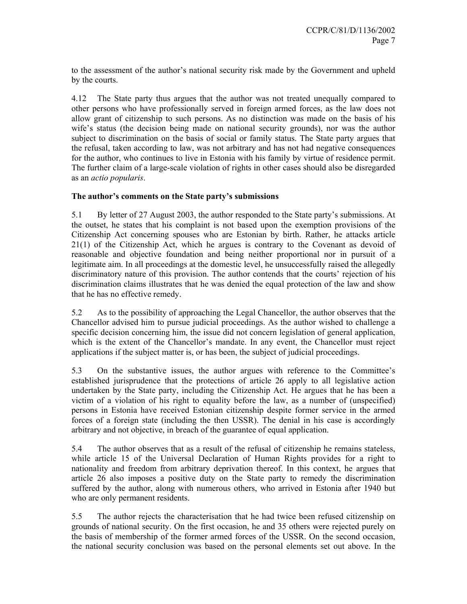to the assessment of the author's national security risk made by the Government and upheld by the courts.

4.12 The State party thus argues that the author was not treated unequally compared to other persons who have professionally served in foreign armed forces, as the law does not allow grant of citizenship to such persons. As no distinction was made on the basis of his wife's status (the decision being made on national security grounds), nor was the author subject to discrimination on the basis of social or family status. The State party argues that the refusal, taken according to law, was not arbitrary and has not had negative consequences for the author, who continues to live in Estonia with his family by virtue of residence permit. The further claim of a large-scale violation of rights in other cases should also be disregarded as an *actio popularis*.

## **The author's comments on the State party's submissions**

5.1 By letter of 27 August 2003, the author responded to the State party's submissions. At the outset, he states that his complaint is not based upon the exemption provisions of the Citizenship Act concerning spouses who are Estonian by birth. Rather, he attacks article 21(1) of the Citizenship Act, which he argues is contrary to the Covenant as devoid of reasonable and objective foundation and being neither proportional nor in pursuit of a legitimate aim. In all proceedings at the domestic level, he unsuccessfully raised the allegedly discriminatory nature of this provision. The author contends that the courts' rejection of his discrimination claims illustrates that he was denied the equal protection of the law and show that he has no effective remedy.

5.2 As to the possibility of approaching the Legal Chancellor, the author observes that the Chancellor advised him to pursue judicial proceedings. As the author wished to challenge a specific decision concerning him, the issue did not concern legislation of general application, which is the extent of the Chancellor's mandate. In any event, the Chancellor must reject applications if the subject matter is, or has been, the subject of judicial proceedings.

5.3 On the substantive issues, the author argues with reference to the Committee's established jurisprudence that the protections of article 26 apply to all legislative action undertaken by the State party, including the Citizenship Act. He argues that he has been a victim of a violation of his right to equality before the law, as a number of (unspecified) persons in Estonia have received Estonian citizenship despite former service in the armed forces of a foreign state (including the then USSR). The denial in his case is accordingly arbitrary and not objective, in breach of the guarantee of equal application.

5.4 The author observes that as a result of the refusal of citizenship he remains stateless, while article 15 of the Universal Declaration of Human Rights provides for a right to nationality and freedom from arbitrary deprivation thereof. In this context, he argues that article 26 also imposes a positive duty on the State party to remedy the discrimination suffered by the author, along with numerous others, who arrived in Estonia after 1940 but who are only permanent residents.

5.5 The author rejects the characterisation that he had twice been refused citizenship on grounds of national security. On the first occasion, he and 35 others were rejected purely on the basis of membership of the former armed forces of the USSR. On the second occasion, the national security conclusion was based on the personal elements set out above. In the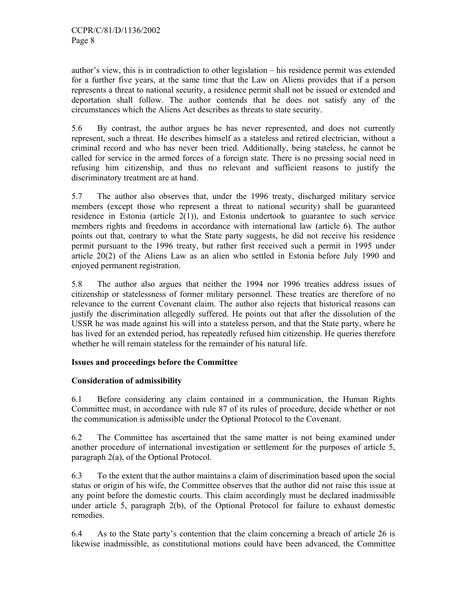author's view, this is in contradiction to other legislation – his residence permit was extended for a further five years, at the same time that the Law on Aliens provides that if a person represents a threat to national security, a residence permit shall not be issued or extended and deportation shall follow. The author contends that he does not satisfy any of the circumstances which the Aliens Act describes as threats to state security.

5.6 By contrast, the author argues he has never represented, and does not currently represent, such a threat. He describes himself as a stateless and retired electrician, without a criminal record and who has never been tried. Additionally, being stateless, he cannot be called for service in the armed forces of a foreign state. There is no pressing social need in refusing him citizenship, and thus no relevant and sufficient reasons to justify the discriminatory treatment are at hand.

5.7 The author also observes that, under the 1996 treaty, discharged military service members (except those who represent a threat to national security) shall be guaranteed residence in Estonia (article  $2(1)$ ), and Estonia undertook to guarantee to such service members rights and freedoms in accordance with international law (article 6). The author points out that, contrary to what the State party suggests, he did not receive his residence permit pursuant to the 1996 treaty, but rather first received such a permit in 1995 under article 20(2) of the Aliens Law as an alien who settled in Estonia before July 1990 and enjoyed permanent registration.

5.8 The author also argues that neither the 1994 nor 1996 treaties address issues of citizenship or statelessness of former military personnel. These treaties are therefore of no relevance to the current Covenant claim. The author also rejects that historical reasons can justify the discrimination allegedly suffered. He points out that after the dissolution of the USSR he was made against his will into a stateless person, and that the State party, where he has lived for an extended period, has repeatedly refused him citizenship. He queries therefore whether he will remain stateless for the remainder of his natural life.

## **Issues and proceedings before the Committee**

### **Consideration of admissibility**

6.1 Before considering any claim contained in a communication, the Human Rights Committee must, in accordance with rule 87 of its rules of procedure, decide whether or not the communication is admissible under the Optional Protocol to the Covenant.

6.2 The Committee has ascertained that the same matter is not being examined under another procedure of international investigation or settlement for the purposes of article 5, paragraph 2(a), of the Optional Protocol.

6.3 To the extent that the author maintains a claim of discrimination based upon the social status or origin of his wife, the Committee observes that the author did not raise this issue at any point before the domestic courts. This claim accordingly must be declared inadmissible under article 5, paragraph 2(b), of the Optional Protocol for failure to exhaust domestic remedies.

6.4 As to the State party's contention that the claim concerning a breach of article 26 is likewise inadmissible, as constitutional motions could have been advanced, the Committee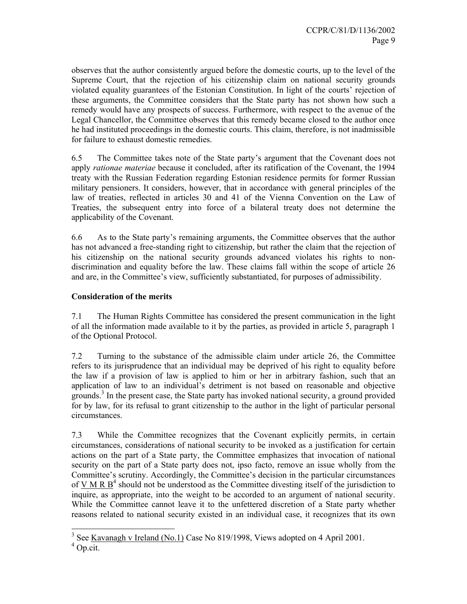observes that the author consistently argued before the domestic courts, up to the level of the Supreme Court, that the rejection of his citizenship claim on national security grounds violated equality guarantees of the Estonian Constitution. In light of the courts' rejection of these arguments, the Committee considers that the State party has not shown how such a remedy would have any prospects of success. Furthermore, with respect to the avenue of the Legal Chancellor, the Committee observes that this remedy became closed to the author once he had instituted proceedings in the domestic courts. This claim, therefore, is not inadmissible for failure to exhaust domestic remedies.

6.5 The Committee takes note of the State party's argument that the Covenant does not apply *rationae materiae* because it concluded, after its ratification of the Covenant, the 1994 treaty with the Russian Federation regarding Estonian residence permits for former Russian military pensioners. It considers, however, that in accordance with general principles of the law of treaties, reflected in articles 30 and 41 of the Vienna Convention on the Law of Treaties, the subsequent entry into force of a bilateral treaty does not determine the applicability of the Covenant.

6.6 As to the State party's remaining arguments, the Committee observes that the author has not advanced a free-standing right to citizenship, but rather the claim that the rejection of his citizenship on the national security grounds advanced violates his rights to nondiscrimination and equality before the law. These claims fall within the scope of article 26 and are, in the Committee's view, sufficiently substantiated, for purposes of admissibility.

## **Consideration of the merits**

7.1 The Human Rights Committee has considered the present communication in the light of all the information made available to it by the parties, as provided in article 5, paragraph 1 of the Optional Protocol.

7.2 Turning to the substance of the admissible claim under article 26, the Committee refers to its jurisprudence that an individual may be deprived of his right to equality before the law if a provision of law is applied to him or her in arbitrary fashion, such that an application of law to an individual's detriment is not based on reasonable and objective grounds.<sup>3</sup> In the present case, the State party has invoked national security, a ground provided for by law, for its refusal to grant citizenship to the author in the light of particular personal circumstances.

7.3 While the Committee recognizes that the Covenant explicitly permits, in certain circumstances, considerations of national security to be invoked as a justification for certain actions on the part of a State party, the Committee emphasizes that invocation of national security on the part of a State party does not, ipso facto, remove an issue wholly from the Committee's scrutiny. Accordingly, the Committee's decision in the particular circumstances of  $\underline{V} \underline{M} \underline{R} \underline{B}^4$  should not be understood as the Committee divesting itself of the jurisdiction to inquire, as appropriate, into the weight to be accorded to an argument of national security. While the Committee cannot leave it to the unfettered discretion of a State party whether reasons related to national security existed in an individual case, it recognizes that its own

<sup>&</sup>lt;sup>3</sup> See <u>Kavanagh v Ireland (No.1)</u> Case No 819/1998, Views adopted on 4 April 2001.

<sup>&</sup>lt;sup>4</sup> Op.cit.